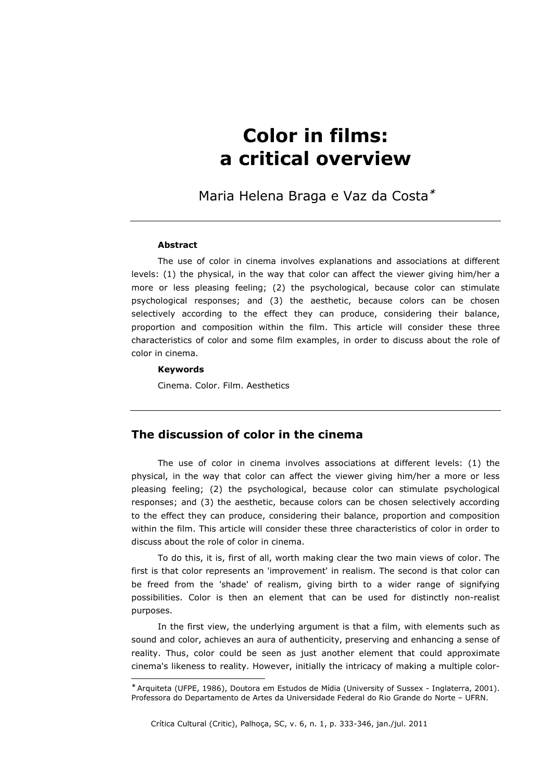# Color in films: a critical overview

Maria Helena Braga e Vaz da Costa<sup>∗</sup>

#### Abstract

The use of color in cinema involves explanations and associations at different levels: (1) the physical, in the way that color can affect the viewer giving him/her a more or less pleasing feeling; (2) the psychological, because color can stimulate psychological responses; and (3) the aesthetic, because colors can be chosen selectively according to the effect they can produce, considering their balance, proportion and composition within the film. This article will consider these three characteristics of color and some film examples, in order to discuss about the role of color in cinema.

### Keywords

i,

Cinema. Color. Film. Aesthetics

## The discussion of color in the cinema

The use of color in cinema involves associations at different levels: (1) the physical, in the way that color can affect the viewer giving him/her a more or less pleasing feeling; (2) the psychological, because color can stimulate psychological responses; and (3) the aesthetic, because colors can be chosen selectively according to the effect they can produce, considering their balance, proportion and composition within the film. This article will consider these three characteristics of color in order to discuss about the role of color in cinema.

To do this, it is, first of all, worth making clear the two main views of color. The first is that color represents an 'improvement' in realism. The second is that color can be freed from the 'shade' of realism, giving birth to a wider range of signifying possibilities. Color is then an element that can be used for distinctly non-realist purposes.

In the first view, the underlying argument is that a film, with elements such as sound and color, achieves an aura of authenticity, preserving and enhancing a sense of reality. Thus, color could be seen as just another element that could approximate cinema's likeness to reality. However, initially the intricacy of making a multiple color-

<sup>∗</sup> Arquiteta (UFPE, 1986), Doutora em Estudos de Mídia (University of Sussex - Inglaterra, 2001). Professora do Departamento de Artes da Universidade Federal do Rio Grande do Norte – UFRN.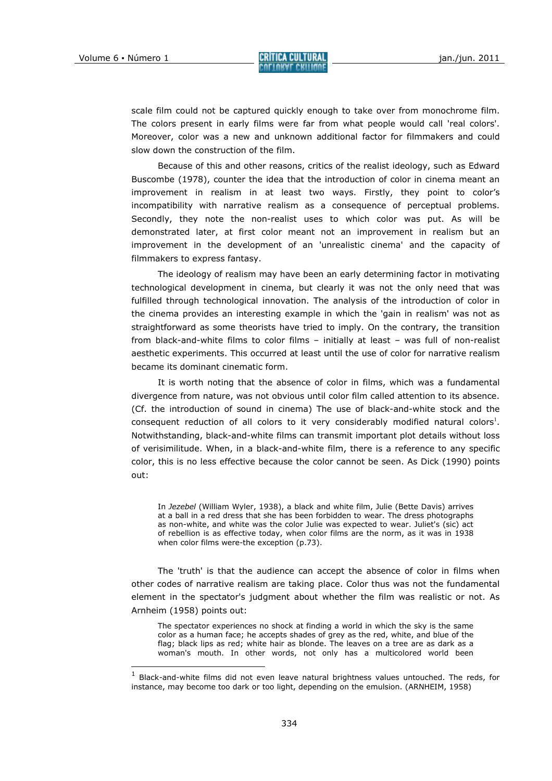i,

scale film could not be captured quickly enough to take over from monochrome film. The colors present in early films were far from what people would call 'real colors'. Moreover, color was a new and unknown additional factor for filmmakers and could slow down the construction of the film.

Because of this and other reasons, critics of the realist ideology, such as Edward Buscombe (1978), counter the idea that the introduction of color in cinema meant an improvement in realism in at least two ways. Firstly, they point to color's incompatibility with narrative realism as a consequence of perceptual problems. Secondly, they note the non-realist uses to which color was put. As will be demonstrated later, at first color meant not an improvement in realism but an improvement in the development of an 'unrealistic cinema' and the capacity of filmmakers to express fantasy.

The ideology of realism may have been an early determining factor in motivating technological development in cinema, but clearly it was not the only need that was fulfilled through technological innovation. The analysis of the introduction of color in the cinema provides an interesting example in which the 'gain in realism' was not as straightforward as some theorists have tried to imply. On the contrary, the transition from black-and-white films to color films – initially at least – was full of non-realist aesthetic experiments. This occurred at least until the use of color for narrative realism became its dominant cinematic form.

It is worth noting that the absence of color in films, which was a fundamental divergence from nature, was not obvious until color film called attention to its absence. (Cf. the introduction of sound in cinema) The use of black-and-white stock and the consequent reduction of all colors to it very considerably modified natural colors<sup>1</sup>. Notwithstanding, black-and-white films can transmit important plot details without loss of verisimilitude. When, in a black-and-white film, there is a reference to any specific color, this is no less effective because the color cannot be seen. As Dick (1990) points out:

In Jezebel (William Wyler, 1938), a black and white film, Julie (Bette Davis) arrives at a ball in a red dress that she has been forbidden to wear. The dress photographs as non-white, and white was the color Julie was expected to wear. Juliet's (sic) act of rebellion is as effective today, when color films are the norm, as it was in 1938 when color films were-the exception (p.73).

The 'truth' is that the audience can accept the absence of color in films when other codes of narrative realism are taking place. Color thus was not the fundamental element in the spectator's judgment about whether the film was realistic or not. As Arnheim (1958) points out:

The spectator experiences no shock at finding a world in which the sky is the same color as a human face; he accepts shades of grey as the red, white, and blue of the flag; black lips as red; white hair as blonde. The leaves on a tree are as dark as a woman's mouth. In other words, not only has a multicolored world been

<sup>&</sup>lt;sup>1</sup> Black-and-white films did not even leave natural brightness values untouched. The reds, for instance, may become too dark or too light, depending on the emulsion. (ARNHEIM, 1958)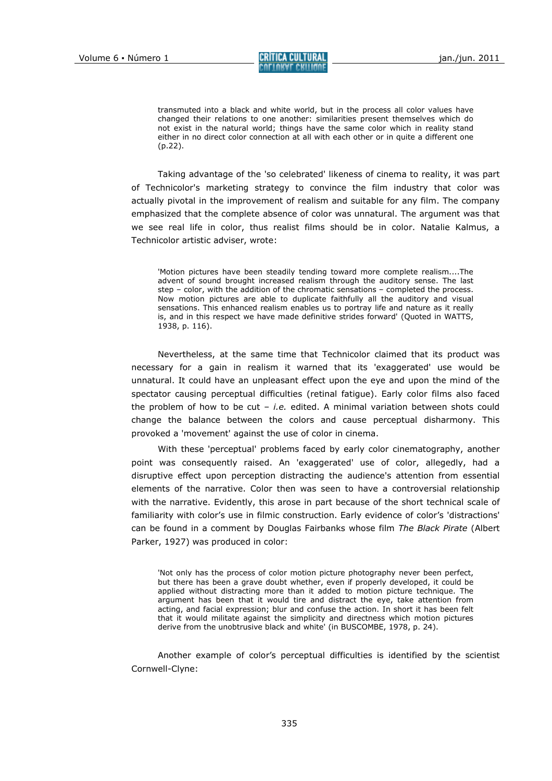transmuted into a black and white world, but in the process all color values have changed their relations to one another: similarities present themselves which do not exist in the natural world; things have the same color which in reality stand either in no direct color connection at all with each other or in quite a different one (p.22).

Taking advantage of the 'so celebrated' likeness of cinema to reality, it was part of Technicolor's marketing strategy to convince the film industry that color was actually pivotal in the improvement of realism and suitable for any film. The company emphasized that the complete absence of color was unnatural. The argument was that we see real life in color, thus realist films should be in color. Natalie Kalmus, a Technicolor artistic adviser, wrote:

'Motion pictures have been steadily tending toward more complete realism....The advent of sound brought increased realism through the auditory sense. The last step – color, with the addition of the chromatic sensations – completed the process. Now motion pictures are able to duplicate faithfully all the auditory and visual sensations. This enhanced realism enables us to portray life and nature as it really is, and in this respect we have made definitive strides forward' (Quoted in WATTS, 1938, p. 116).

Nevertheless, at the same time that Technicolor claimed that its product was necessary for a gain in realism it warned that its 'exaggerated' use would be unnatural. It could have an unpleasant effect upon the eye and upon the mind of the spectator causing perceptual difficulties (retinal fatigue). Early color films also faced the problem of how to be cut – i.e. edited. A minimal variation between shots could change the balance between the colors and cause perceptual disharmony. This provoked a 'movement' against the use of color in cinema.

With these 'perceptual' problems faced by early color cinematography, another point was consequently raised. An 'exaggerated' use of color, allegedly, had a disruptive effect upon perception distracting the audience's attention from essential elements of the narrative. Color then was seen to have a controversial relationship with the narrative. Evidently, this arose in part because of the short technical scale of familiarity with color's use in filmic construction. Early evidence of color's 'distractions' can be found in a comment by Douglas Fairbanks whose film The Black Pirate (Albert Parker, 1927) was produced in color:

'Not only has the process of color motion picture photography never been perfect, but there has been a grave doubt whether, even if properly developed, it could be applied without distracting more than it added to motion picture technique. The argument has been that it would tire and distract the eye, take attention from acting, and facial expression; blur and confuse the action. In short it has been felt that it would militate against the simplicity and directness which motion pictures derive from the unobtrusive black and white' (in BUSCOMBE, 1978, p. 24).

Another example of color's perceptual difficulties is identified by the scientist Cornwell-Clyne: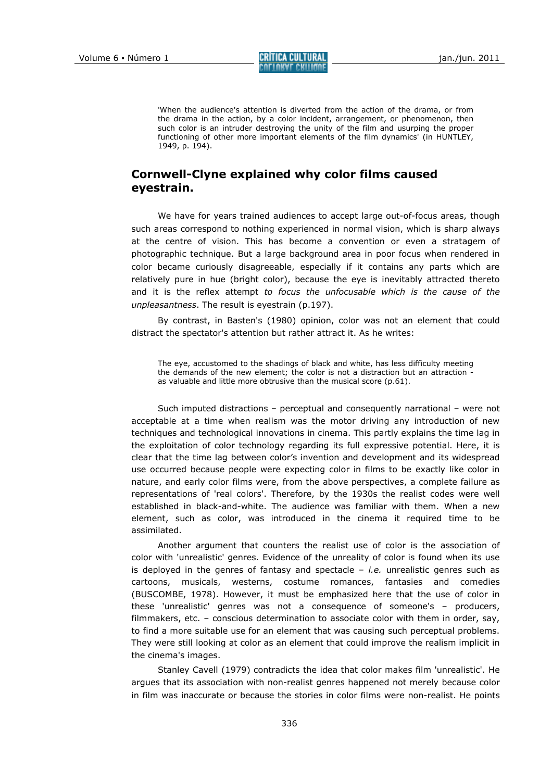Volume 6 • Número 1 **CRÍTICA CULTURAL**<br>COLUME CHILIANE

'When the audience's attention is diverted from the action of the drama, or from the drama in the action, by a color incident, arrangement, or phenomenon, then such color is an intruder destroying the unity of the film and usurping the proper functioning of other more important elements of the film dynamics' (in HUNTLEY, 1949, p. 194).

## Cornwell-Clyne explained why color films caused eyestrain.

We have for years trained audiences to accept large out-of-focus areas, though such areas correspond to nothing experienced in normal vision, which is sharp always at the centre of vision. This has become a convention or even a stratagem of photographic technique. But a large background area in poor focus when rendered in color became curiously disagreeable, especially if it contains any parts which are relatively pure in hue (bright color), because the eye is inevitably attracted thereto and it is the reflex attempt to focus the unfocusable which is the cause of the unpleasantness. The result is eyestrain (p.197).

By contrast, in Basten's (1980) opinion, color was not an element that could distract the spectator's attention but rather attract it. As he writes:

The eye, accustomed to the shadings of black and white, has less difficulty meeting the demands of the new element; the color is not a distraction but an attraction as valuable and little more obtrusive than the musical score (p.61).

Such imputed distractions – perceptual and consequently narrational – were not acceptable at a time when realism was the motor driving any introduction of new techniques and technological innovations in cinema. This partly explains the time lag in the exploitation of color technology regarding its full expressive potential. Here, it is clear that the time lag between color's invention and development and its widespread use occurred because people were expecting color in films to be exactly like color in nature, and early color films were, from the above perspectives, a complete failure as representations of 'real colors'. Therefore, by the 1930s the realist codes were well established in black-and-white. The audience was familiar with them. When a new element, such as color, was introduced in the cinema it required time to be assimilated.

Another argument that counters the realist use of color is the association of color with 'unrealistic' genres. Evidence of the unreality of color is found when its use is deployed in the genres of fantasy and spectacle  $-$  *i.e.* unrealistic genres such as cartoons, musicals, westerns, costume romances, fantasies and comedies (BUSCOMBE, 1978). However, it must be emphasized here that the use of color in these 'unrealistic' genres was not a consequence of someone's – producers, filmmakers, etc. – conscious determination to associate color with them in order, say, to find a more suitable use for an element that was causing such perceptual problems. They were still looking at color as an element that could improve the realism implicit in the cinema's images.

Stanley Cavell (1979) contradicts the idea that color makes film 'unrealistic'. He argues that its association with non-realist genres happened not merely because color in film was inaccurate or because the stories in color films were non-realist. He points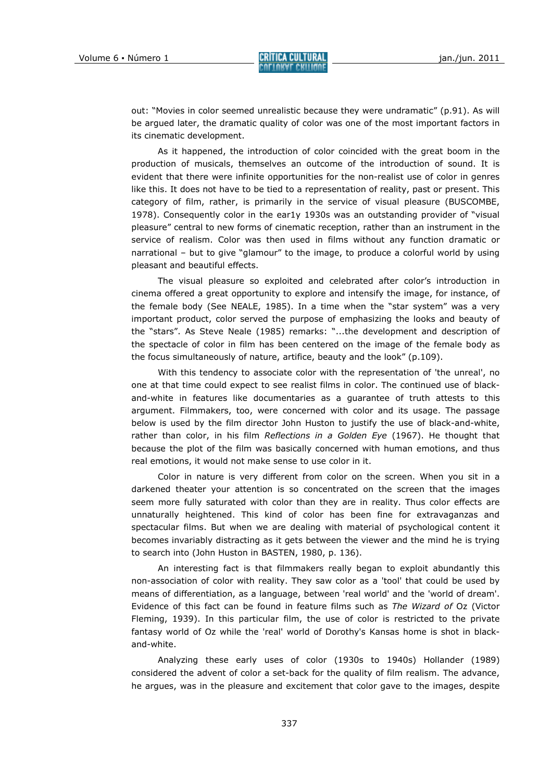out: "Movies in color seemed unrealistic because they were undramatic" (p.91). As will be argued later, the dramatic quality of color was one of the most important factors in its cinematic development.

As it happened, the introduction of color coincided with the great boom in the production of musicals, themselves an outcome of the introduction of sound. It is evident that there were infinite opportunities for the non-realist use of color in genres like this. It does not have to be tied to a representation of reality, past or present. This category of film, rather, is primarily in the service of visual pleasure (BUSCOMBE, 1978). Consequently color in the ear1y 1930s was an outstanding provider of "visual pleasure" central to new forms of cinematic reception, rather than an instrument in the service of realism. Color was then used in films without any function dramatic or narrational – but to give "glamour" to the image, to produce a colorful world by using pleasant and beautiful effects.

The visual pleasure so exploited and celebrated after color's introduction in cinema offered a great opportunity to explore and intensify the image, for instance, of the female body (See NEALE, 1985). In a time when the "star system" was a very important product, color served the purpose of emphasizing the looks and beauty of the "stars". As Steve Neale (1985) remarks: "...the development and description of the spectacle of color in film has been centered on the image of the female body as the focus simultaneously of nature, artifice, beauty and the look" (p.109).

With this tendency to associate color with the representation of 'the unreal', no one at that time could expect to see realist films in color. The continued use of blackand-white in features like documentaries as a guarantee of truth attests to this argument. Filmmakers, too, were concerned with color and its usage. The passage below is used by the film director John Huston to justify the use of black-and-white, rather than color, in his film Reflections in a Golden Eye (1967). He thought that because the plot of the film was basically concerned with human emotions, and thus real emotions, it would not make sense to use color in it.

Color in nature is very different from color on the screen. When you sit in a darkened theater your attention is so concentrated on the screen that the images seem more fully saturated with color than they are in reality. Thus color effects are unnaturally heightened. This kind of color has been fine for extravaganzas and spectacular films. But when we are dealing with material of psychological content it becomes invariably distracting as it gets between the viewer and the mind he is trying to search into (John Huston in BASTEN, 1980, p. 136).

An interesting fact is that filmmakers really began to exploit abundantly this non-association of color with reality. They saw color as a 'tool' that could be used by means of differentiation, as a language, between 'real world' and the 'world of dream'. Evidence of this fact can be found in feature films such as The Wizard of Oz (Victor Fleming, 1939). In this particular film, the use of color is restricted to the private fantasy world of Oz while the 'real' world of Dorothy's Kansas home is shot in blackand-white.

Analyzing these early uses of color (1930s to 1940s) Hollander (1989) considered the advent of color a set-back for the quality of film realism. The advance, he argues, was in the pleasure and excitement that color gave to the images, despite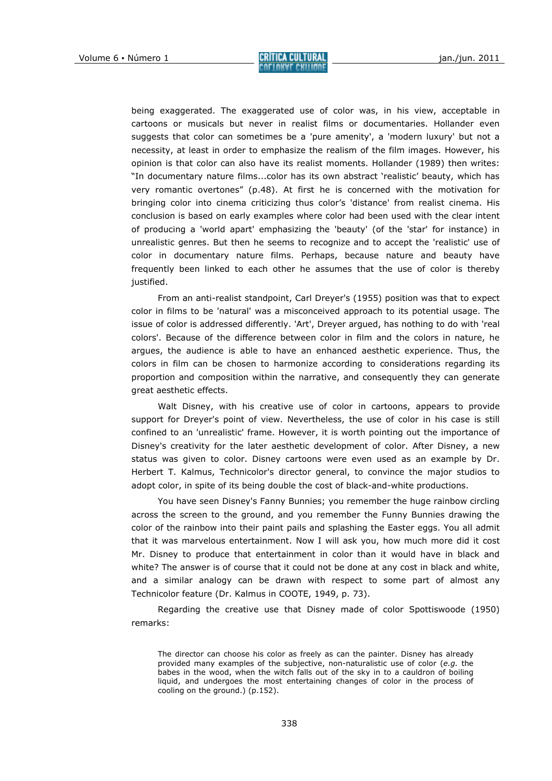being exaggerated. The exaggerated use of color was, in his view, acceptable in cartoons or musicals but never in realist films or documentaries. Hollander even suggests that color can sometimes be a 'pure amenity', a 'modern luxury' but not a necessity, at least in order to emphasize the realism of the film images. However, his opinion is that color can also have its realist moments. Hollander (1989) then writes: "In documentary nature films...color has its own abstract 'realistic' beauty, which has very romantic overtones" (p.48). At first he is concerned with the motivation for bringing color into cinema criticizing thus color's 'distance' from realist cinema. His conclusion is based on early examples where color had been used with the clear intent of producing a 'world apart' emphasizing the 'beauty' (of the 'star' for instance) in unrealistic genres. But then he seems to recognize and to accept the 'realistic' use of color in documentary nature films. Perhaps, because nature and beauty have frequently been linked to each other he assumes that the use of color is thereby justified.

From an anti-realist standpoint, Carl Dreyer's (1955) position was that to expect color in films to be 'natural' was a misconceived approach to its potential usage. The issue of color is addressed differently. 'Art', Dreyer argued, has nothing to do with 'real colors'. Because of the difference between color in film and the colors in nature, he argues, the audience is able to have an enhanced aesthetic experience. Thus, the colors in film can be chosen to harmonize according to considerations regarding its proportion and composition within the narrative, and consequently they can generate great aesthetic effects.

Walt Disney, with his creative use of color in cartoons, appears to provide support for Dreyer's point of view. Nevertheless, the use of color in his case is still confined to an 'unrealistic' frame. However, it is worth pointing out the importance of Disney's creativity for the later aesthetic development of color. After Disney, a new status was given to color. Disney cartoons were even used as an example by Dr. Herbert T. Kalmus, Technicolor's director general, to convince the major studios to adopt color, in spite of its being double the cost of black-and-white productions.

You have seen Disney's Fanny Bunnies; you remember the huge rainbow circling across the screen to the ground, and you remember the Funny Bunnies drawing the color of the rainbow into their paint pails and splashing the Easter eggs. You all admit that it was marvelous entertainment. Now I will ask you, how much more did it cost Mr. Disney to produce that entertainment in color than it would have in black and white? The answer is of course that it could not be done at any cost in black and white, and a similar analogy can be drawn with respect to some part of almost any Technicolor feature (Dr. Kalmus in COOTE, 1949, p. 73).

Regarding the creative use that Disney made of color Spottiswoode (1950) remarks:

The director can choose his color as freely as can the painter. Disney has already provided many examples of the subjective, non-naturalistic use of color (e.g. the babes in the wood, when the witch falls out of the sky in to a cauldron of boiling liquid, and undergoes the most entertaining changes of color in the process of cooling on the ground.) (p.152).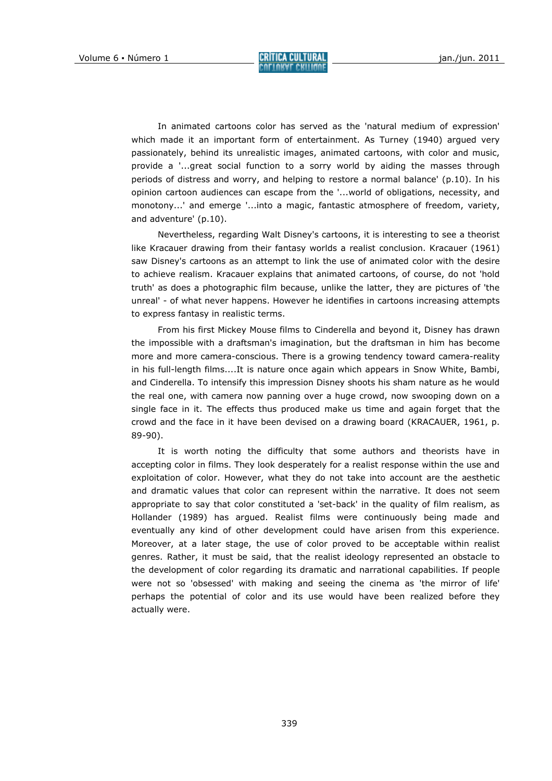In animated cartoons color has served as the 'natural medium of expression' which made it an important form of entertainment. As Turney (1940) argued very passionately, behind its unrealistic images, animated cartoons, with color and music, provide a '...great social function to a sorry world by aiding the masses through periods of distress and worry, and helping to restore a normal balance' (p.10). In his opinion cartoon audiences can escape from the '...world of obligations, necessity, and monotony...' and emerge '...into a magic, fantastic atmosphere of freedom, variety, and adventure' (p.10).

Nevertheless, regarding Walt Disney's cartoons, it is interesting to see a theorist like Kracauer drawing from their fantasy worlds a realist conclusion. Kracauer (1961) saw Disney's cartoons as an attempt to link the use of animated color with the desire to achieve realism. Kracauer explains that animated cartoons, of course, do not 'hold truth' as does a photographic film because, unlike the latter, they are pictures of 'the unreal' - of what never happens. However he identifies in cartoons increasing attempts to express fantasy in realistic terms.

From his first Mickey Mouse films to Cinderella and beyond it, Disney has drawn the impossible with a draftsman's imagination, but the draftsman in him has become more and more camera-conscious. There is a growing tendency toward camera-reality in his full-length films....It is nature once again which appears in Snow White, Bambi, and Cinderella. To intensify this impression Disney shoots his sham nature as he would the real one, with camera now panning over a huge crowd, now swooping down on a single face in it. The effects thus produced make us time and again forget that the crowd and the face in it have been devised on a drawing board (KRACAUER, 1961, p. 89-90).

It is worth noting the difficulty that some authors and theorists have in accepting color in films. They look desperately for a realist response within the use and exploitation of color. However, what they do not take into account are the aesthetic and dramatic values that color can represent within the narrative. It does not seem appropriate to say that color constituted a 'set-back' in the quality of film realism, as Hollander (1989) has argued. Realist films were continuously being made and eventually any kind of other development could have arisen from this experience. Moreover, at a later stage, the use of color proved to be acceptable within realist genres. Rather, it must be said, that the realist ideology represented an obstacle to the development of color regarding its dramatic and narrational capabilities. If people were not so 'obsessed' with making and seeing the cinema as 'the mirror of life' perhaps the potential of color and its use would have been realized before they actually were.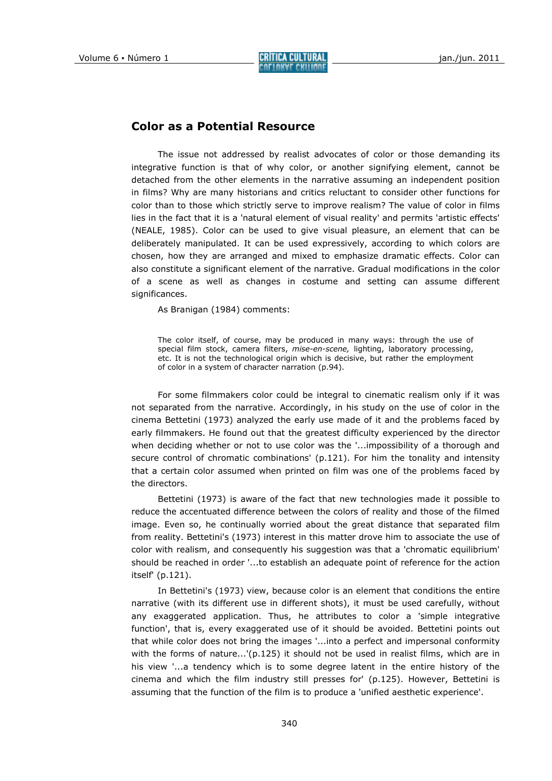## Color as a Potential Resource

The issue not addressed by realist advocates of color or those demanding its integrative function is that of why color, or another signifying element, cannot be detached from the other elements in the narrative assuming an independent position in films? Why are many historians and critics reluctant to consider other functions for color than to those which strictly serve to improve realism? The value of color in films lies in the fact that it is a 'natural element of visual reality' and permits 'artistic effects' (NEALE, 1985). Color can be used to give visual pleasure, an element that can be deliberately manipulated. It can be used expressively, according to which colors are chosen, how they are arranged and mixed to emphasize dramatic effects. Color can also constitute a significant element of the narrative. Gradual modifications in the color of a scene as well as changes in costume and setting can assume different significances.

As Branigan (1984) comments:

The color itself, of course, may be produced in many ways: through the use of special film stock, camera filters, mise-en-scene, lighting, laboratory processing, etc. It is not the technological origin which is decisive, but rather the employment of color in a system of character narration (p.94).

For some filmmakers color could be integral to cinematic realism only if it was not separated from the narrative. Accordingly, in his study on the use of color in the cinema Bettetini (1973) analyzed the early use made of it and the problems faced by early filmmakers. He found out that the greatest difficulty experienced by the director when deciding whether or not to use color was the '...impossibility of a thorough and secure control of chromatic combinations' (p.121). For him the tonality and intensity that a certain color assumed when printed on film was one of the problems faced by the directors.

Bettetini (1973) is aware of the fact that new technologies made it possible to reduce the accentuated difference between the colors of reality and those of the filmed image. Even so, he continually worried about the great distance that separated film from reality. Bettetini's (1973) interest in this matter drove him to associate the use of color with realism, and consequently his suggestion was that a 'chromatic equilibrium' should be reached in order '...to establish an adequate point of reference for the action itself' (p.121).

In Bettetini's (1973) view, because color is an element that conditions the entire narrative (with its different use in different shots), it must be used carefully, without any exaggerated application. Thus, he attributes to color a 'simple integrative function', that is, every exaggerated use of it should be avoided. Bettetini points out that while color does not bring the images '...into a perfect and impersonal conformity with the forms of nature...'(p.125) it should not be used in realist films, which are in his view '...a tendency which is to some degree latent in the entire history of the cinema and which the film industry still presses for' (p.125). However, Bettetini is assuming that the function of the film is to produce a 'unified aesthetic experience'.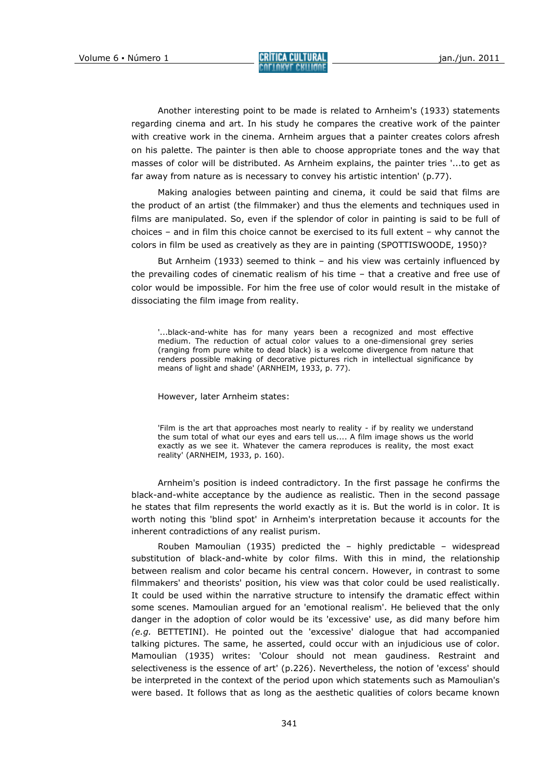Another interesting point to be made is related to Arnheim's (1933) statements regarding cinema and art. In his study he compares the creative work of the painter with creative work in the cinema. Arnheim argues that a painter creates colors afresh on his palette. The painter is then able to choose appropriate tones and the way that masses of color will be distributed. As Arnheim explains, the painter tries '...to get as far away from nature as is necessary to convey his artistic intention' (p.77).

Making analogies between painting and cinema, it could be said that films are the product of an artist (the filmmaker) and thus the elements and techniques used in films are manipulated. So, even if the splendor of color in painting is said to be full of choices – and in film this choice cannot be exercised to its full extent – why cannot the colors in film be used as creatively as they are in painting (SPOTTISWOODE, 1950)?

But Arnheim (1933) seemed to think – and his view was certainly influenced by the prevailing codes of cinematic realism of his time – that a creative and free use of color would be impossible. For him the free use of color would result in the mistake of dissociating the film image from reality.

'...black-and-white has for many years been a recognized and most effective medium. The reduction of actual color values to a one-dimensional grey series (ranging from pure white to dead black) is a welcome divergence from nature that renders possible making of decorative pictures rich in intellectual significance by means of light and shade' (ARNHEIM, 1933, p. 77).

However, later Arnheim states:

'Film is the art that approaches most nearly to reality - if by reality we understand the sum total of what our eyes and ears tell us.... A film image shows us the world exactly as we see it. Whatever the camera reproduces is reality, the most exact reality' (ARNHEIM, 1933, p. 160).

Arnheim's position is indeed contradictory. In the first passage he confirms the black-and-white acceptance by the audience as realistic. Then in the second passage he states that film represents the world exactly as it is. But the world is in color. It is worth noting this 'blind spot' in Arnheim's interpretation because it accounts for the inherent contradictions of any realist purism.

Rouben Mamoulian (1935) predicted the – highly predictable – widespread substitution of black-and-white by color films. With this in mind, the relationship between realism and color became his central concern. However, in contrast to some filmmakers' and theorists' position, his view was that color could be used realistically. It could be used within the narrative structure to intensify the dramatic effect within some scenes. Mamoulian argued for an 'emotional realism'. He believed that the only danger in the adoption of color would be its 'excessive' use, as did many before him  $(e.g.$  BETTETINI). He pointed out the 'excessive' dialogue that had accompanied talking pictures. The same, he asserted, could occur with an injudicious use of color. Mamoulian (1935) writes: 'Colour should not mean gaudiness. Restraint and selectiveness is the essence of art' (p.226). Nevertheless, the notion of 'excess' should be interpreted in the context of the period upon which statements such as Mamoulian's were based. It follows that as long as the aesthetic qualities of colors became known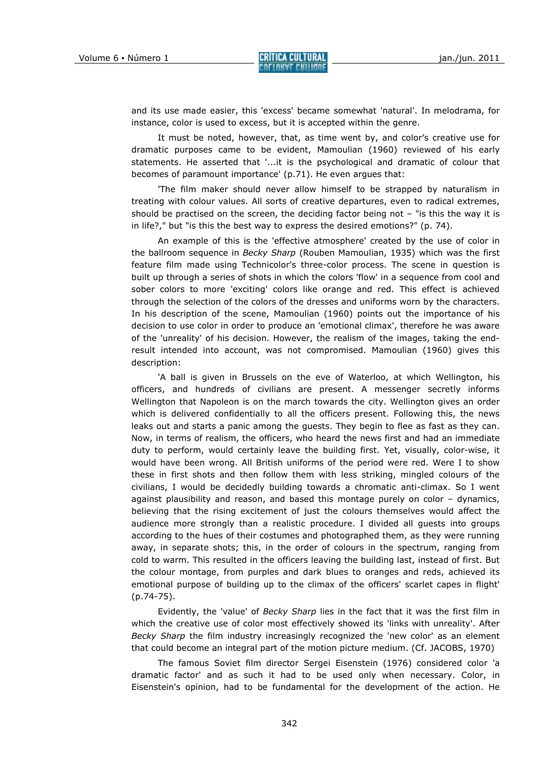and its use made easier, this 'excess' became somewhat 'natural'. In melodrama, for instance, color is used to excess, but it is accepted within the genre.

It must be noted, however, that, as time went by, and color's creative use for dramatic purposes came to be evident, Mamoulian (1960) reviewed of his early statements. He asserted that '...it is the psychological and dramatic of colour that becomes of paramount importance' (p.71). He even argues that:

'The film maker should never allow himself to be strapped by naturalism in treating with colour values. All sorts of creative departures, even to radical extremes, should be practised on the screen, the deciding factor being not – "is this the way it is in life?," but "is this the best way to express the desired emotions?" (p. 74).

An example of this is the 'effective atmosphere' created by the use of color in the ballroom sequence in Becky Sharp (Rouben Mamoulian, 1935) which was the first feature film made using Technicolor's three-color process. The scene in question is built up through a series of shots in which the colors 'flow' in a sequence from cool and sober colors to more 'exciting' colors like orange and red. This effect is achieved through the selection of the colors of the dresses and uniforms worn by the characters. In his description of the scene, Mamoulian (1960) points out the importance of his decision to use color in order to produce an 'emotional climax', therefore he was aware of the 'unreality' of his decision. However, the realism of the images, taking the endresult intended into account, was not compromised. Mamoulian (1960) gives this description:

'A ball is given in Brussels on the eve of Waterloo, at which Wellington, his officers, and hundreds of civilians are present. A messenger secretly informs Wellington that Napoleon is on the march towards the city. Wellington gives an order which is delivered confidentially to all the officers present. Following this, the news leaks out and starts a panic among the guests. They begin to flee as fast as they can. Now, in terms of realism, the officers, who heard the news first and had an immediate duty to perform, would certainly leave the building first. Yet, visually, color-wise, it would have been wrong. All British uniforms of the period were red. Were I to show these in first shots and then follow them with less striking, mingled colours of the civilians, I would be decidedly building towards a chromatic anti-climax. So I went against plausibility and reason, and based this montage purely on color – dynamics, believing that the rising excitement of just the colours themselves would affect the audience more strongly than a realistic procedure. I divided all guests into groups according to the hues of their costumes and photographed them, as they were running away, in separate shots; this, in the order of colours in the spectrum, ranging from cold to warm. This resulted in the officers leaving the building last, instead of first. But the colour montage, from purples and dark blues to oranges and reds, achieved its emotional purpose of building up to the climax of the officers' scarlet capes in flight' (p.74-75).

Evidently, the 'value' of Becky Sharp lies in the fact that it was the first film in which the creative use of color most effectively showed its 'links with unreality'. After Becky Sharp the film industry increasingly recognized the 'new color' as an element that could become an integral part of the motion picture medium. (Cf. JACOBS, 1970)

The famous Soviet film director Sergei Eisenstein (1976) considered color 'a dramatic factor' and as such it had to be used only when necessary. Color, in Eisenstein's opinion, had to be fundamental for the development of the action. He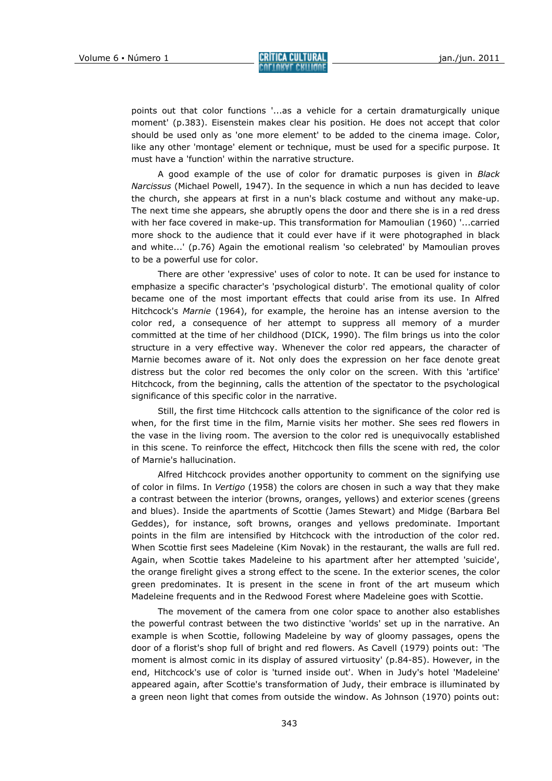points out that color functions '...as a vehicle for a certain dramaturgically unique moment' (p.383). Eisenstein makes clear his position. He does not accept that color should be used only as 'one more element' to be added to the cinema image. Color, like any other 'montage' element or technique, must be used for a specific purpose. It must have a 'function' within the narrative structure.

A good example of the use of color for dramatic purposes is given in Black Narcissus (Michael Powell, 1947). In the sequence in which a nun has decided to leave the church, she appears at first in a nun's black costume and without any make-up. The next time she appears, she abruptly opens the door and there she is in a red dress with her face covered in make-up. This transformation for Mamoulian (1960) '...carried more shock to the audience that it could ever have if it were photographed in black and white...' (p.76) Again the emotional realism 'so celebrated' by Mamoulian proves to be a powerful use for color.

There are other 'expressive' uses of color to note. It can be used for instance to emphasize a specific character's 'psychological disturb'. The emotional quality of color became one of the most important effects that could arise from its use. In Alfred Hitchcock's Marnie (1964), for example, the heroine has an intense aversion to the color red, a consequence of her attempt to suppress all memory of a murder committed at the time of her childhood (DICK, 1990). The film brings us into the color structure in a very effective way. Whenever the color red appears, the character of Marnie becomes aware of it. Not only does the expression on her face denote great distress but the color red becomes the only color on the screen. With this 'artifice' Hitchcock, from the beginning, calls the attention of the spectator to the psychological significance of this specific color in the narrative.

Still, the first time Hitchcock calls attention to the significance of the color red is when, for the first time in the film, Marnie visits her mother. She sees red flowers in the vase in the living room. The aversion to the color red is unequivocally established in this scene. To reinforce the effect, Hitchcock then fills the scene with red, the color of Marnie's hallucination.

Alfred Hitchcock provides another opportunity to comment on the signifying use of color in films. In Vertigo (1958) the colors are chosen in such a way that they make a contrast between the interior (browns, oranges, yellows) and exterior scenes (greens and blues). Inside the apartments of Scottie (James Stewart) and Midge (Barbara Bel Geddes), for instance, soft browns, oranges and yellows predominate. Important points in the film are intensified by Hitchcock with the introduction of the color red. When Scottie first sees Madeleine (Kim Novak) in the restaurant, the walls are full red. Again, when Scottie takes Madeleine to his apartment after her attempted 'suicide', the orange firelight gives a strong effect to the scene. In the exterior scenes, the color green predominates. It is present in the scene in front of the art museum which Madeleine frequents and in the Redwood Forest where Madeleine goes with Scottie.

The movement of the camera from one color space to another also establishes the powerful contrast between the two distinctive 'worlds' set up in the narrative. An example is when Scottie, following Madeleine by way of gloomy passages, opens the door of a florist's shop full of bright and red flowers. As Cavell (1979) points out: 'The moment is almost comic in its display of assured virtuosity' (p.84-85). However, in the end, Hitchcock's use of color is 'turned inside out'. When in Judy's hotel 'Madeleine' appeared again, after Scottie's transformation of Judy, their embrace is illuminated by a green neon light that comes from outside the window. As Johnson (1970) points out: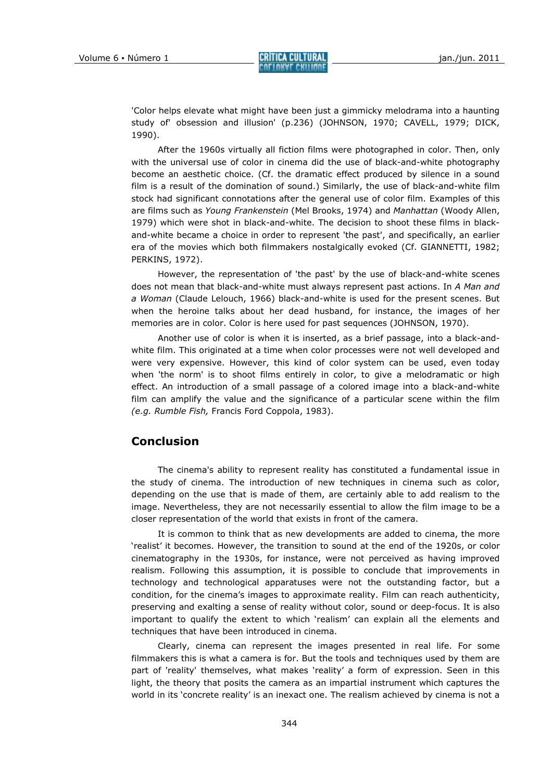'Color helps elevate what might have been just a gimmicky melodrama into a haunting study of' obsession and illusion' (p.236) (JOHNSON, 1970; CAVELL, 1979; DICK, 1990).

After the 1960s virtually all fiction films were photographed in color. Then, only with the universal use of color in cinema did the use of black-and-white photography become an aesthetic choice. (Cf. the dramatic effect produced by silence in a sound film is a result of the domination of sound.) Similarly, the use of black-and-white film stock had significant connotations after the general use of color film. Examples of this are films such as Young Frankenstein (Mel Brooks, 1974) and Manhattan (Woody Allen, 1979) which were shot in black-and-white. The decision to shoot these films in blackand-white became a choice in order to represent 'the past', and specifically, an earlier era of the movies which both filmmakers nostalgically evoked (Cf. GIANNETTI, 1982; PERKINS, 1972).

However, the representation of 'the past' by the use of black-and-white scenes does not mean that black-and-white must always represent past actions. In A Man and a Woman (Claude Lelouch, 1966) black-and-white is used for the present scenes. But when the heroine talks about her dead husband, for instance, the images of her memories are in color. Color is here used for past sequences (JOHNSON, 1970).

Another use of color is when it is inserted, as a brief passage, into a black-andwhite film. This originated at a time when color processes were not well developed and were very expensive. However, this kind of color system can be used, even today when 'the norm' is to shoot films entirely in color, to give a melodramatic or high effect. An introduction of a small passage of a colored image into a black-and-white film can amplify the value and the significance of a particular scene within the film (e.g. Rumble Fish, Francis Ford Coppola, 1983).

## Conclusion

The cinema's ability to represent reality has constituted a fundamental issue in the study of cinema. The introduction of new techniques in cinema such as color, depending on the use that is made of them, are certainly able to add realism to the image. Nevertheless, they are not necessarily essential to allow the film image to be a closer representation of the world that exists in front of the camera.

It is common to think that as new developments are added to cinema, the more 'realist' it becomes. However, the transition to sound at the end of the 1920s, or color cinematography in the 1930s, for instance, were not perceived as having improved realism. Following this assumption, it is possible to conclude that improvements in technology and technological apparatuses were not the outstanding factor, but a condition, for the cinema's images to approximate reality. Film can reach authenticity, preserving and exalting a sense of reality without color, sound or deep-focus. It is also important to qualify the extent to which 'realism' can explain all the elements and techniques that have been introduced in cinema.

Clearly, cinema can represent the images presented in real life. For some filmmakers this is what a camera is for. But the tools and techniques used by them are part of 'reality' themselves, what makes 'reality' a form of expression. Seen in this light, the theory that posits the camera as an impartial instrument which captures the world in its 'concrete reality' is an inexact one. The realism achieved by cinema is not a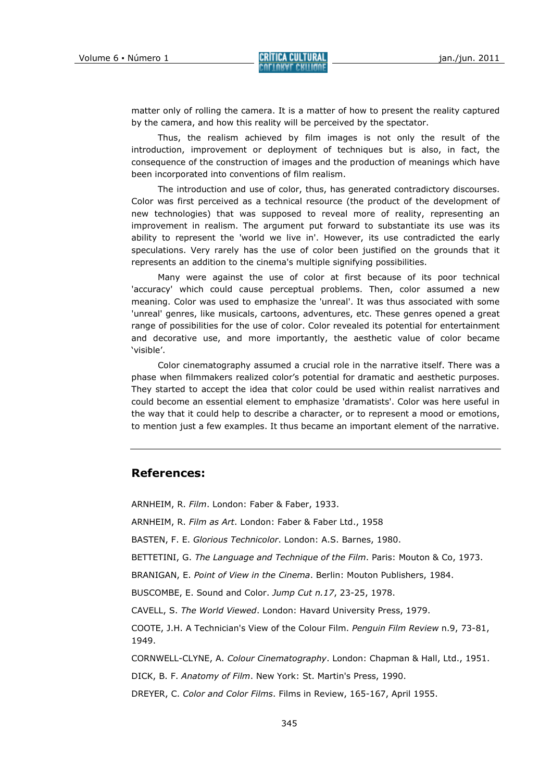matter only of rolling the camera. It is a matter of how to present the reality captured by the camera, and how this reality will be perceived by the spectator.

Thus, the realism achieved by film images is not only the result of the introduction, improvement or deployment of techniques but is also, in fact, the consequence of the construction of images and the production of meanings which have been incorporated into conventions of film realism.

The introduction and use of color, thus, has generated contradictory discourses. Color was first perceived as a technical resource (the product of the development of new technologies) that was supposed to reveal more of reality, representing an improvement in realism. The argument put forward to substantiate its use was its ability to represent the 'world we live in'. However, its use contradicted the early speculations. Very rarely has the use of color been justified on the grounds that it represents an addition to the cinema's multiple signifying possibilities.

Many were against the use of color at first because of its poor technical 'accuracy' which could cause perceptual problems. Then, color assumed a new meaning. Color was used to emphasize the 'unreal'. It was thus associated with some 'unreal' genres, like musicals, cartoons, adventures, etc. These genres opened a great range of possibilities for the use of color. Color revealed its potential for entertainment and decorative use, and more importantly, the aesthetic value of color became 'visible'.

Color cinematography assumed a crucial role in the narrative itself. There was a phase when filmmakers realized color's potential for dramatic and aesthetic purposes. They started to accept the idea that color could be used within realist narratives and could become an essential element to emphasize 'dramatists'. Color was here useful in the way that it could help to describe a character, or to represent a mood or emotions, to mention just a few examples. It thus became an important element of the narrative.

## References:

ARNHEIM, R. Film. London: Faber & Faber, 1933.

ARNHEIM, R. Film as Art. London: Faber & Faber Ltd., 1958

BASTEN, F. E. Glorious Technicolor. London: A.S. Barnes, 1980.

BETTETINI, G. The Language and Technique of the Film. Paris: Mouton & Co, 1973.

BRANIGAN, E. Point of View in the Cinema. Berlin: Mouton Publishers, 1984.

BUSCOMBE, E. Sound and Color. Jump Cut n.17, 23-25, 1978.

CAVELL, S. The World Viewed. London: Havard University Press, 1979.

COOTE, J.H. A Technician's View of the Colour Film. Penguin Film Review n.9, 73-81, 1949.

CORNWELL-CLYNE, A. Colour Cinematography. London: Chapman & Hall, Ltd., 1951.

DICK, B. F. Anatomy of Film. New York: St. Martin's Press, 1990.

DREYER, C. Color and Color Films. Films in Review, 165-167, April 1955.